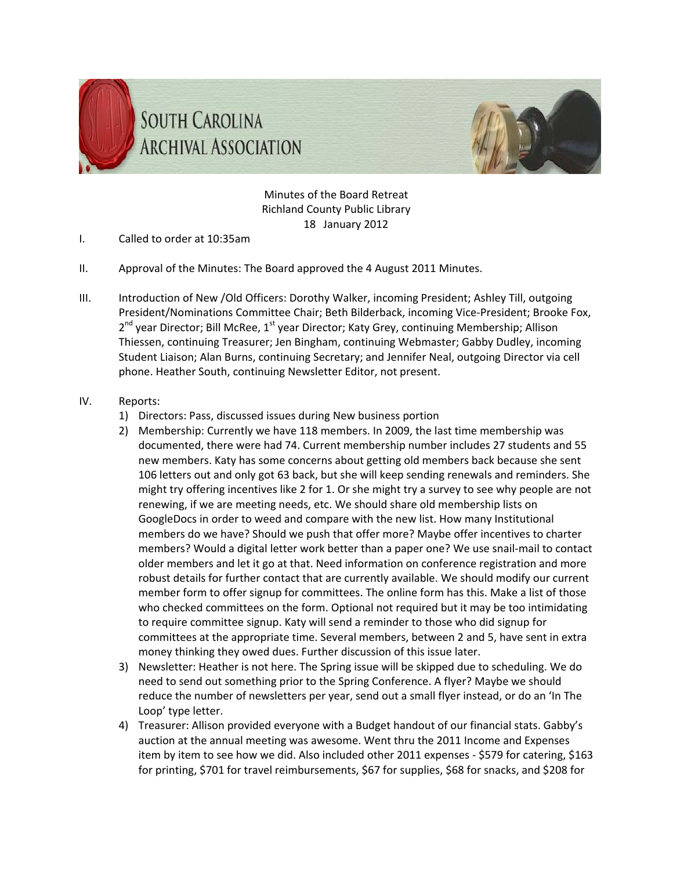



Minutes of the Board Retreat Richland County Public Library 18 January 2012

- I. Called to order at 10:35am
- II. Approval of the Minutes: The Board approved the 4 August 2011 Minutes.
- III. Introduction of New /Old Officers: Dorothy Walker, incoming President; Ashley Till, outgoing President/Nominations Committee Chair; Beth Bilderback, incoming Vice‐President; Brooke Fox, 2<sup>nd</sup> year Director; Bill McRee, 1<sup>st</sup> year Director; Katy Grey, continuing Membership; Allison Thiessen, continuing Treasurer; Jen Bingham, continuing Webmaster; Gabby Dudley, incoming Student Liaison; Alan Burns, continuing Secretary; and Jennifer Neal, outgoing Director via cell phone. Heather South, continuing Newsletter Editor, not present.

## IV. Reports:

- 1) Directors: Pass, discussed issues during New business portion
- 2) Membership: Currently we have 118 members. In 2009, the last time membership was documented, there were had 74. Current membership number includes 27 students and 55 new members. Katy has some concerns about getting old members back because she sent 106 letters out and only got 63 back, but she will keep sending renewals and reminders. She might try offering incentives like 2 for 1. Or she might try a survey to see why people are not renewing, if we are meeting needs, etc. We should share old membership lists on GoogleDocs in order to weed and compare with the new list. How many Institutional members do we have? Should we push that offer more? Maybe offer incentives to charter members? Would a digital letter work better than a paper one? We use snail-mail to contact older members and let it go at that. Need information on conference registration and more robust details for further contact that are currently available. We should modify our current member form to offer signup for committees. The online form has this. Make a list of those who checked committees on the form. Optional not required but it may be too intimidating to require committee signup. Katy will send a reminder to those who did signup for committees at the appropriate time. Several members, between 2 and 5, have sent in extra money thinking they owed dues. Further discussion of this issue later.
- 3) Newsletter: Heather is not here. The Spring issue will be skipped due to scheduling. We do need to send out something prior to the Spring Conference. A flyer? Maybe we should reduce the number of newsletters per year, send out a small flyer instead, or do an 'In The Loop' type letter.
- 4) Treasurer: Allison provided everyone with a Budget handout of our financial stats. Gabby's auction at the annual meeting was awesome. Went thru the 2011 Income and Expenses item by item to see how we did. Also included other 2011 expenses ‐ \$579 for catering, \$163 for printing, \$701 for travel reimbursements, \$67 for supplies, \$68 for snacks, and \$208 for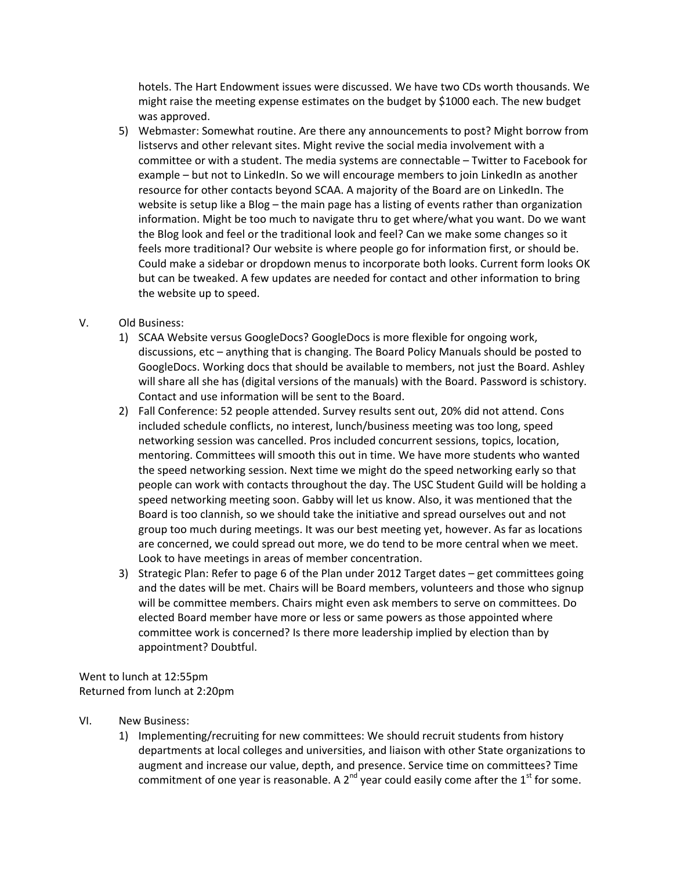hotels. The Hart Endowment issues were discussed. We have two CDs worth thousands. We might raise the meeting expense estimates on the budget by \$1000 each. The new budget was approved.

5) Webmaster: Somewhat routine. Are there any announcements to post? Might borrow from listservs and other relevant sites. Might revive the social media involvement with a committee or with a student. The media systems are connectable – Twitter to Facebook for example – but not to LinkedIn. So we will encourage members to join LinkedIn as another resource for other contacts beyond SCAA. A majority of the Board are on LinkedIn. The website is setup like a Blog – the main page has a listing of events rather than organization information. Might be too much to navigate thru to get where/what you want. Do we want the Blog look and feel or the traditional look and feel? Can we make some changes so it feels more traditional? Our website is where people go for information first, or should be. Could make a sidebar or dropdown menus to incorporate both looks. Current form looks OK but can be tweaked. A few updates are needed for contact and other information to bring the website up to speed.

## V. Old Business:

- 1) SCAA Website versus GoogleDocs? GoogleDocs is more flexible for ongoing work, discussions, etc – anything that is changing. The Board Policy Manuals should be posted to GoogleDocs. Working docs that should be available to members, not just the Board. Ashley will share all she has (digital versions of the manuals) with the Board. Password is schistory. Contact and use information will be sent to the Board.
- 2) Fall Conference: 52 people attended. Survey results sent out, 20% did not attend. Cons included schedule conflicts, no interest, lunch/business meeting was too long, speed networking session was cancelled. Pros included concurrent sessions, topics, location, mentoring. Committees will smooth this out in time. We have more students who wanted the speed networking session. Next time we might do the speed networking early so that people can work with contacts throughout the day. The USC Student Guild will be holding a speed networking meeting soon. Gabby will let us know. Also, it was mentioned that the Board is too clannish, so we should take the initiative and spread ourselves out and not group too much during meetings. It was our best meeting yet, however. As far as locations are concerned, we could spread out more, we do tend to be more central when we meet. Look to have meetings in areas of member concentration.
- 3) Strategic Plan: Refer to page 6 of the Plan under 2012 Target dates get committees going and the dates will be met. Chairs will be Board members, volunteers and those who signup will be committee members. Chairs might even ask members to serve on committees. Do elected Board member have more or less or same powers as those appointed where committee work is concerned? Is there more leadership implied by election than by appointment? Doubtful.

Went to lunch at 12:55pm Returned from lunch at 2:20pm

- VI. New Business:
	- 1) Implementing/recruiting for new committees: We should recruit students from history departments at local colleges and universities, and liaison with other State organizations to augment and increase our value, depth, and presence. Service time on committees? Time commitment of one year is reasonable. A  $2^{nd}$  year could easily come after the  $1^{st}$  for some.